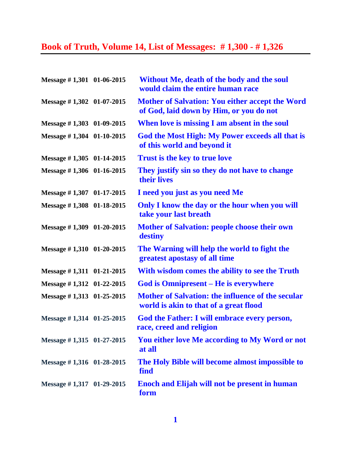## **Book of Truth, Volume 14, List of Messages: # 1,300 - # 1,326**

| Message #1,301 01-06-2015     | Without Me, death of the body and the soul<br>would claim the entire human race                   |
|-------------------------------|---------------------------------------------------------------------------------------------------|
| Message $\#$ 1,302 01-07-2015 | <b>Mother of Salvation: You either accept the Word</b><br>of God, laid down by Him, or you do not |
| Message $\#$ 1,303 01-09-2015 | When love is missing I am absent in the soul                                                      |
| Message #1,304 01-10-2015     | God the Most High: My Power exceeds all that is<br>of this world and beyond it                    |
| Message $\#$ 1,305 01-14-2015 | <b>Trust is the key to true love</b>                                                              |
| Message #1,306 01-16-2015     | They justify sin so they do not have to change<br>their lives                                     |
| Message $\#$ 1,307 01-17-2015 | I need you just as you need Me                                                                    |
| Message #1,308 01-18-2015     | Only I know the day or the hour when you will<br>take your last breath                            |
| Message #1,309 01-20-2015     | <b>Mother of Salvation: people choose their own</b><br>destiny                                    |
| Message #1,310 01-20-2015     | The Warning will help the world to fight the<br>greatest apostasy of all time                     |
| Message $\#$ 1,311 01-21-2015 | With wisdom comes the ability to see the Truth                                                    |
| Message $\#$ 1,312 01-22-2015 | <b>God is Omnipresent – He is everywhere</b>                                                      |
| Message #1,313 01-25-2015     | Mother of Salvation: the influence of the secular<br>world is akin to that of a great flood       |
| Message #1,314 01-25-2015     | God the Father: I will embrace every person,<br>race, creed and religion                          |
| Message $\#$ 1,315 01-27-2015 | You either love Me according to My Word or not<br>at all                                          |
| Message #1,316 01-28-2015     | The Holy Bible will become almost impossible to<br>find                                           |
| Message #1,317 01-29-2015     | <b>Enoch and Elijah will not be present in human</b><br>form                                      |